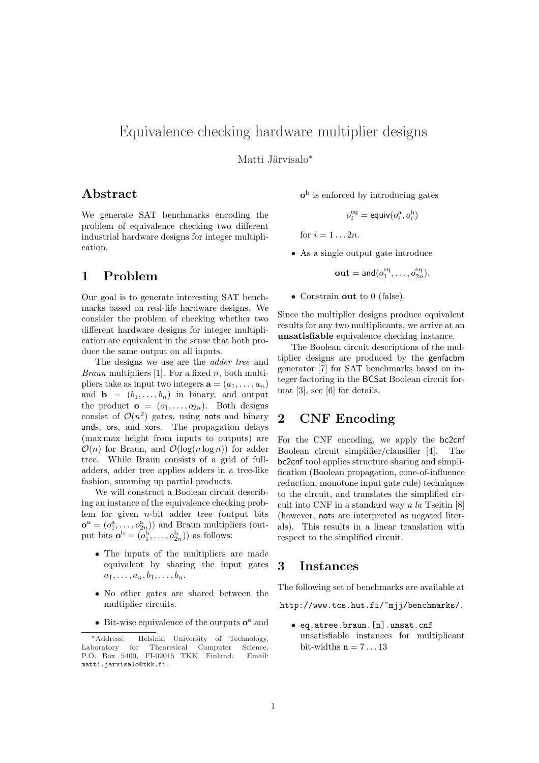# Equivalence checking hardware multiplier designs

Matti Järvisalo<sup>\*</sup>

## Abstract

We generate SAT benchmarks encoding the problem of equivalence checking two different industrial hardware designs for integer multiplication.

## 1 Problem

Our goal is to generate interesting SAT benchmarks based on real-life hardware designs. We consider the problem of checking whether two different hardware designs for integer multiplication are equivalent in the sense that both produce the same output on all inputs.

The designs we use are the adder tree and *Braun* multipliers [1]. For a fixed  $n$ , both multipliers take as input two integers  $\mathbf{a} = (a_1, \ldots, a_n)$ and  $\mathbf{b} = (b_1, \ldots, b_n)$  in binary, and output the product  $\mathbf{o} = (o_1, \ldots, o_{2n})$ . Both designs consist of  $\mathcal{O}(n^2)$  gates, using nots and binary ands, ors, and xors. The propagation delays (max max height from inputs to outputs) are  $\mathcal{O}(n)$  for Braun, and  $\mathcal{O}(\log(n \log n))$  for adder tree. While Braun consists of a grid of fulladders, adder tree applies adders in a tree-like fashion, summing up partial products.

We will construct a Boolean circuit describing an instance of the equivalence checking problem for given  $n$ -bit adder tree (output bits)  $\mathbf{o}^{\mathbf{a}} = (o_1^{\mathbf{a}}, \dots, o_{2n}^{\mathbf{a}}))$  and Braun multipliers (output bits  $\mathbf{o}^{\mathrm{b}} = (o_1^{\mathrm{b}}, \dots, o_{2n}^{\mathrm{b}})$  as follows:

- The inputs of the multipliers are made equivalent by sharing the input gates  $a_1, \ldots, a_n, b_1, \ldots, b_n.$
- No other gates are shared between the multiplier circuits.
- Bit-wise equivalence of the outputs  $o^a$  and

 $o<sup>b</sup>$  is enforced by introducing gates

$$
o_i^{\rm eq} = \mathrm{equiv}(o_i^{\rm a},o_i^{\rm b})
$$

for  $i = 1... 2n$ .

• As a single output gate introduce

 $\textbf{out} = \textsf{and}(o_1^{\text{eq}}, \dots, o_{2n}^{\text{eq}}).$ 

• Constrain out to 0 (false).

Since the multiplier designs produce equivalent results for any two multiplicants, we arrive at an unsatisfiable equivalence checking instance.

The Boolean circuit descriptions of the multiplier designs are produced by the genfacbm generator [7] for SAT benchmarks based on integer factoring in the BCSat Boolean circuit format [3], see [6] for details.

## 2 CNF Encoding

For the CNF encoding, we apply the bc2cnf Boolean circuit simplifier/clausifier [4]. The bc2cnf tool applies structure sharing and simplification (Boolean propagation, cone-of-influence reduction, monotone input gate rule) techniques to the circuit, and translates the simplified circuit into CNF in a standard way a la Tseitin [8] (however, nots are interpreted as negated literals). This results in a linear translation with respect to the simplified circuit.

### 3 Instances

The following set of benchmarks are available at

http://www.tcs.hut.fi/~mjj/benchmarks/.

• eq.atree.braun.[n].unsat.cnf unsatisfiable instances for multiplicant bit-widths  $n = 7...13$ 

<sup>∗</sup>Address: Helsinki University of Technology, Laboratory for Theoretical Computer Science, P.O. Box 5400, FI-02015 TKK, Finland. Email: matti.jarvisalo@tkk.fi.